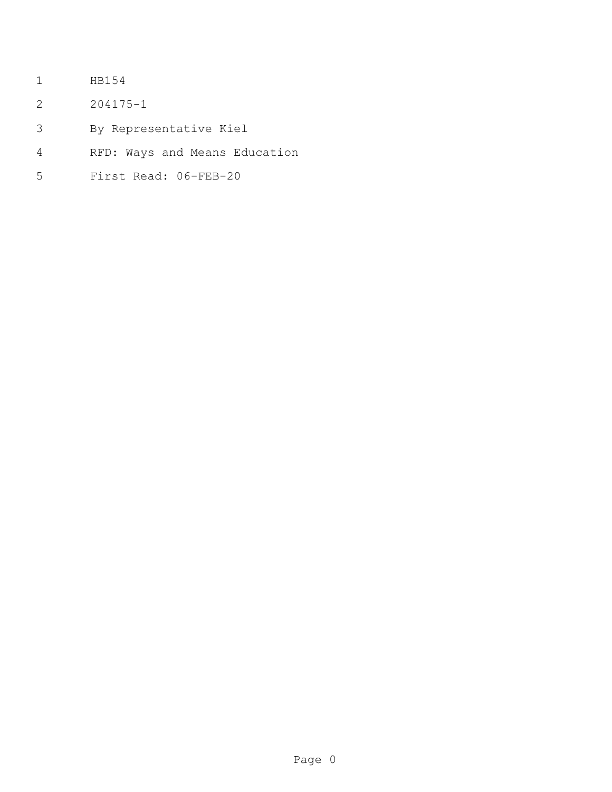- HB154
- 204175-1
- By Representative Kiel
- RFD: Ways and Means Education
- First Read: 06-FEB-20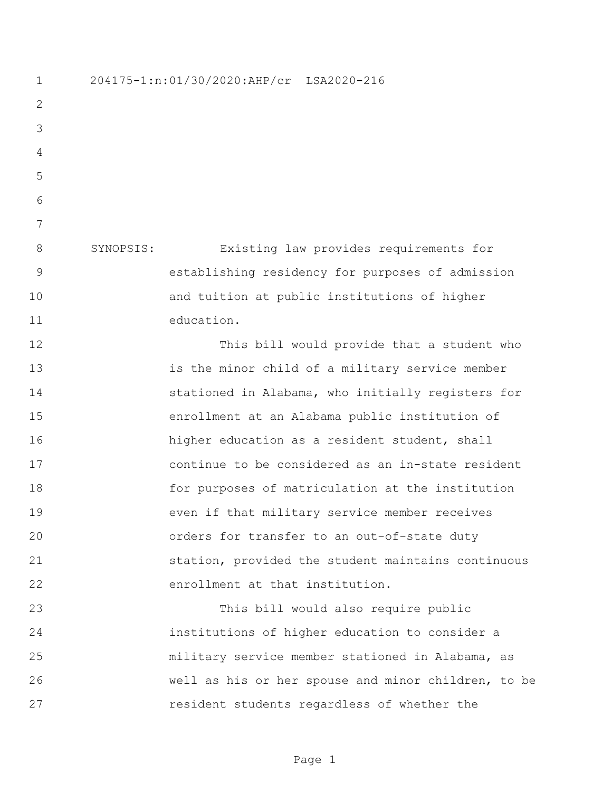204175-1:n:01/30/2020:AHP/cr LSA2020-216 SYNOPSIS: Existing law provides requirements for establishing residency for purposes of admission and tuition at public institutions of higher education. This bill would provide that a student who is the minor child of a military service member stationed in Alabama, who initially registers for enrollment at an Alabama public institution of higher education as a resident student, shall continue to be considered as an in-state resident for purposes of matriculation at the institution even if that military service member receives orders for transfer to an out-of-state duty station, provided the student maintains continuous enrollment at that institution. This bill would also require public institutions of higher education to consider a military service member stationed in Alabama, as well as his or her spouse and minor children, to be resident students regardless of whether the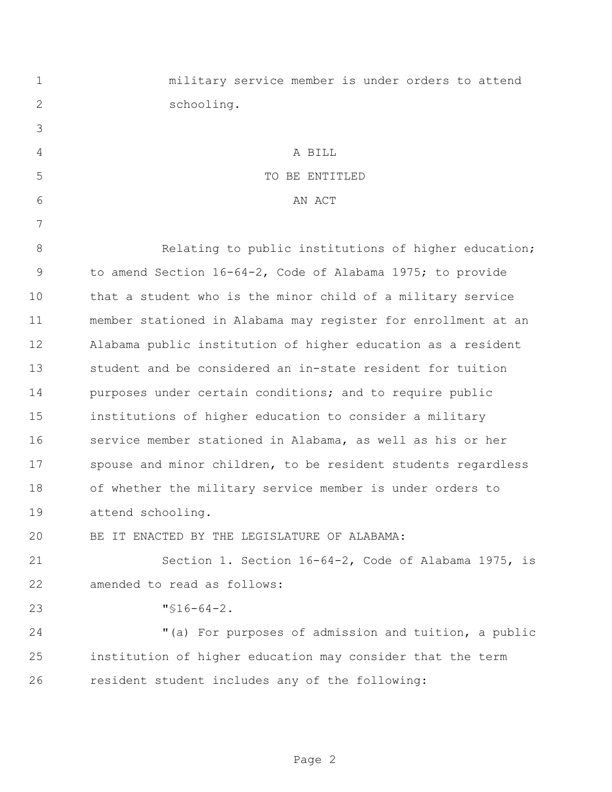| $\mathbf 1$   | military service member is under orders to attend             |
|---------------|---------------------------------------------------------------|
| 2             | schooling.                                                    |
| 3             |                                                               |
| 4             | A BILL                                                        |
| 5             | TO BE ENTITLED                                                |
| 6             | AN ACT                                                        |
| 7             |                                                               |
| 8             | Relating to public institutions of higher education;          |
| $\mathcal{G}$ | to amend Section 16-64-2, Code of Alabama 1975; to provide    |
| 10            | that a student who is the minor child of a military service   |
| 11            | member stationed in Alabama may register for enrollment at an |
| 12            | Alabama public institution of higher education as a resident  |
| 13            | student and be considered an in-state resident for tuition    |
| 14            | purposes under certain conditions; and to require public      |
| 15            | institutions of higher education to consider a military       |
| 16            | service member stationed in Alabama, as well as his or her    |
| 17            | spouse and minor children, to be resident students regardless |
| 18            | of whether the military service member is under orders to     |
| 19            | attend schooling.                                             |
| 20            | BE IT ENACTED BY THE LEGISLATURE OF ALABAMA:                  |
| 21            | Section 1. Section 16-64-2, Code of Alabama 1975, is          |
| 22            | amended to read as follows:                                   |
| 23            | $"$ \$16-64-2.                                                |
| 24            | "(a) For purposes of admission and tuition, a public          |
| 25            | institution of higher education may consider that the term    |
| 26            | resident student includes any of the following:               |
|               |                                                               |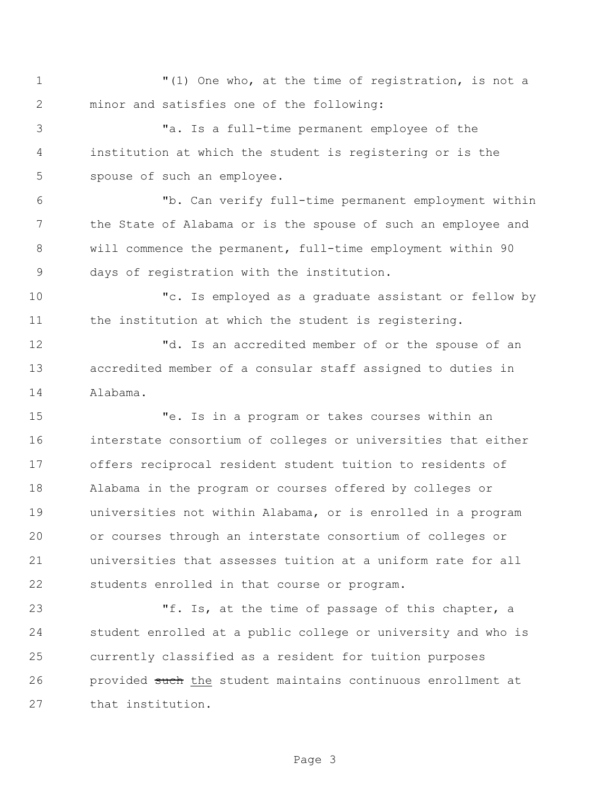"(1) One who, at the time of registration, is not a minor and satisfies one of the following:

 "a. Is a full-time permanent employee of the institution at which the student is registering or is the spouse of such an employee.

 "b. Can verify full-time permanent employment within the State of Alabama or is the spouse of such an employee and will commence the permanent, full-time employment within 90 days of registration with the institution.

 "c. Is employed as a graduate assistant or fellow by 11 the institution at which the student is registering.

 "d. Is an accredited member of or the spouse of an accredited member of a consular staff assigned to duties in Alabama.

 "e. Is in a program or takes courses within an interstate consortium of colleges or universities that either offers reciprocal resident student tuition to residents of Alabama in the program or courses offered by colleges or universities not within Alabama, or is enrolled in a program or courses through an interstate consortium of colleges or universities that assesses tuition at a uniform rate for all students enrolled in that course or program.

 "f. Is, at the time of passage of this chapter, a student enrolled at a public college or university and who is currently classified as a resident for tuition purposes 26 provided such the student maintains continuous enrollment at that institution.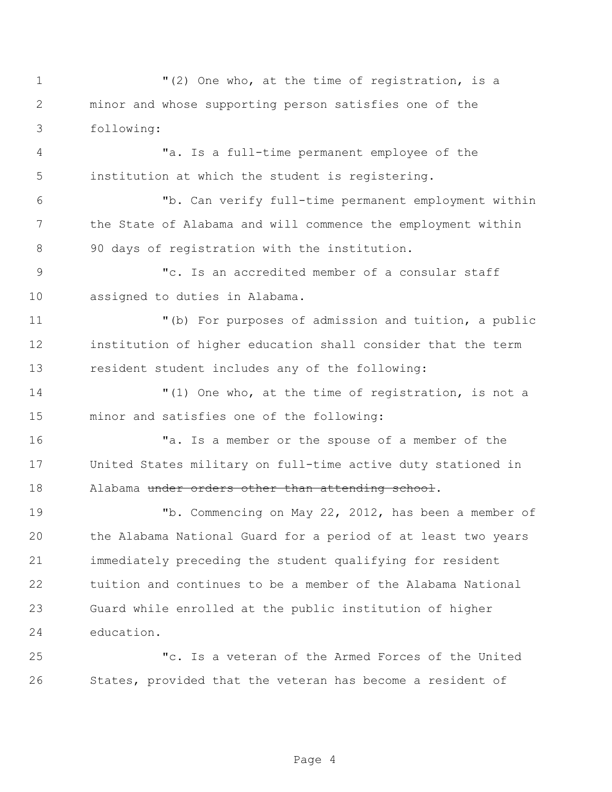$(2)$  One who, at the time of registration, is a minor and whose supporting person satisfies one of the following: "a. Is a full-time permanent employee of the institution at which the student is registering. "b. Can verify full-time permanent employment within the State of Alabama and will commence the employment within 90 days of registration with the institution. "c. Is an accredited member of a consular staff assigned to duties in Alabama. "(b) For purposes of admission and tuition, a public institution of higher education shall consider that the term resident student includes any of the following: "(1) One who, at the time of registration, is not a minor and satisfies one of the following: "a. Is a member or the spouse of a member of the United States military on full-time active duty stationed in 18 Alabama under orders other than attending school. "b. Commencing on May 22, 2012, has been a member of the Alabama National Guard for a period of at least two years immediately preceding the student qualifying for resident tuition and continues to be a member of the Alabama National Guard while enrolled at the public institution of higher education. "c. Is a veteran of the Armed Forces of the United

Page 4

States, provided that the veteran has become a resident of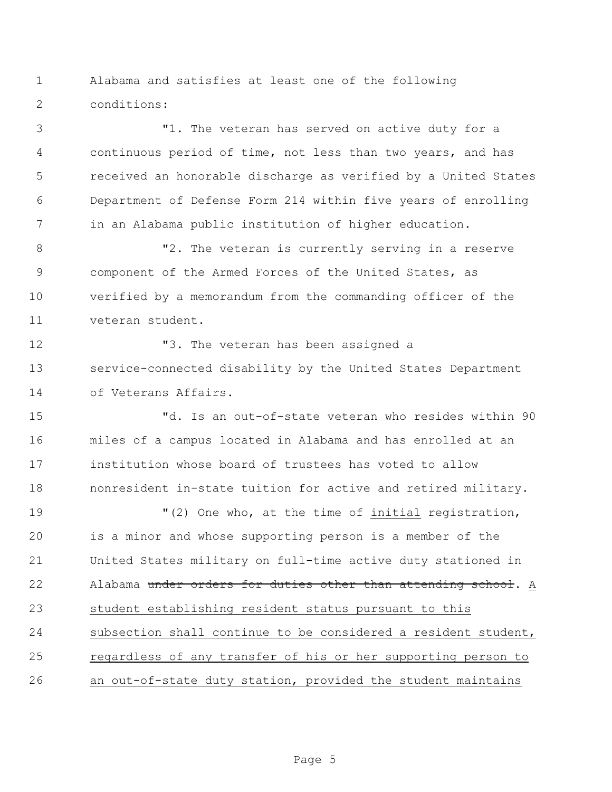Alabama and satisfies at least one of the following conditions:

 "1. The veteran has served on active duty for a continuous period of time, not less than two years, and has received an honorable discharge as verified by a United States Department of Defense Form 214 within five years of enrolling in an Alabama public institution of higher education.

8 The veteran is currently serving in a reserve component of the Armed Forces of the United States, as verified by a memorandum from the commanding officer of the veteran student.

 "3. The veteran has been assigned a service-connected disability by the United States Department of Veterans Affairs.

 "d. Is an out-of-state veteran who resides within 90 miles of a campus located in Alabama and has enrolled at an institution whose board of trustees has voted to allow nonresident in-state tuition for active and retired military.

 $(2)$  One who, at the time of initial registration, is a minor and whose supporting person is a member of the United States military on full-time active duty stationed in 22 Alabama under orders for duties other than attending school. A student establishing resident status pursuant to this subsection shall continue to be considered a resident student, regardless of any transfer of his or her supporting person to an out-of-state duty station, provided the student maintains